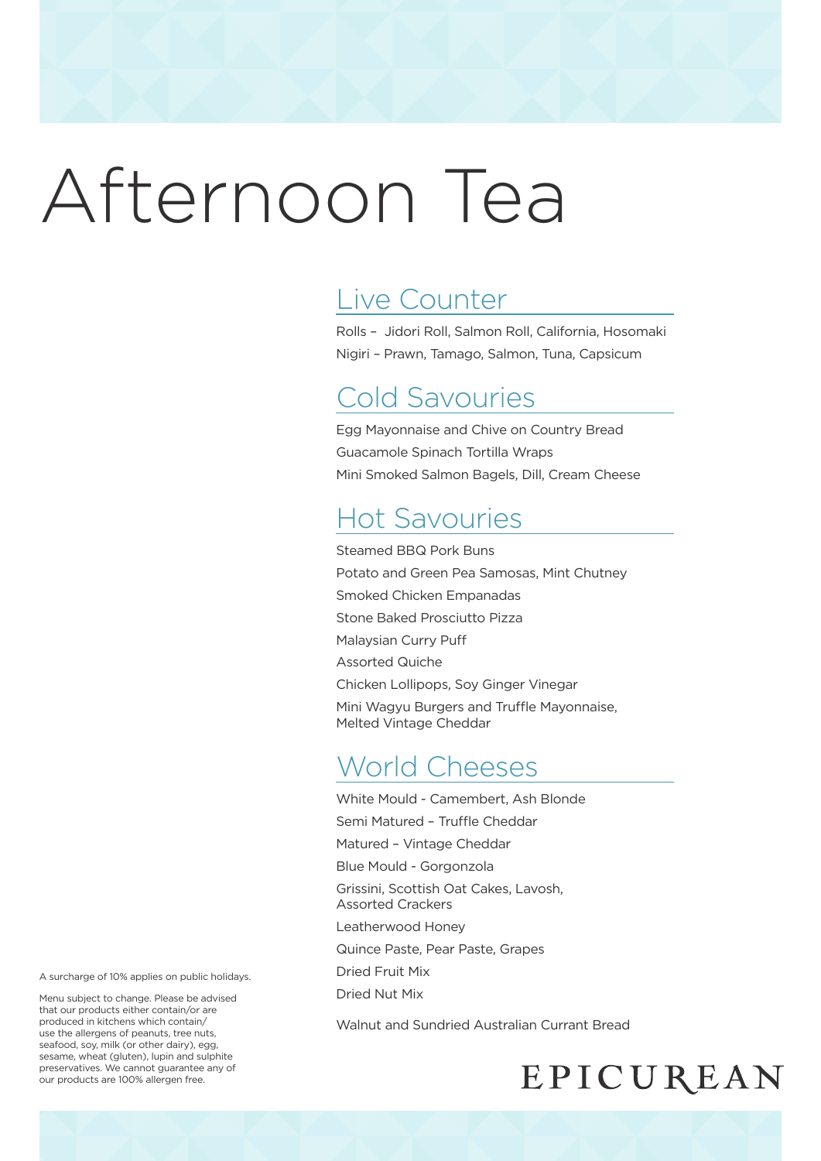# Afternoon Tea

## Live Counter

Rolls – Jidori Roll, Salmon Roll, California, Hosomaki Nigiri – Prawn, Tamago, Salmon, Tuna, Capsicum

### Cold Savouries

Egg Mayonnaise and Chive on Country Bread Guacamole Spinach Tortilla Wraps Mini Smoked Salmon Bagels, Dill, Cream Cheese

# Hot Savouries

Steamed BBQ Pork Buns Potato and Green Pea Samosas, Mint Chutney Smoked Chicken Empanadas Stone Baked Prosciutto Pizza Malaysian Curry Puff Assorted Quiche Chicken Lollipops, Soy Ginger Vinegar Mini Wagyu Burgers and Truffle Mayonnaise, Melted Vintage Cheddar

## World Cheeses

White Mould - Camembert, Ash Blonde Semi Matured – Truffle Cheddar Matured – Vintage Cheddar Blue Mould - Gorgonzola Grissini, Scottish Oat Cakes, Lavosh, Assorted Crackers Leatherwood Honey Quince Paste, Pear Paste, Grapes Dried Fruit Mix Dried Nut Mix

Walnut and Sundried Australian Currant Bread

#### A surcharge of 10% applies on public holidays.

Menu subject to change. Please be advised that our products either contain/or are produced in kitchens which contain/ use the allergens of peanuts, tree nuts, seafood, soy, milk (or other dairy), egg, sesame, wheat (gluten), lupin and sulphite preservatives. We cannot guarantee any of our products are 100% allergen free.

# EPICUREAN